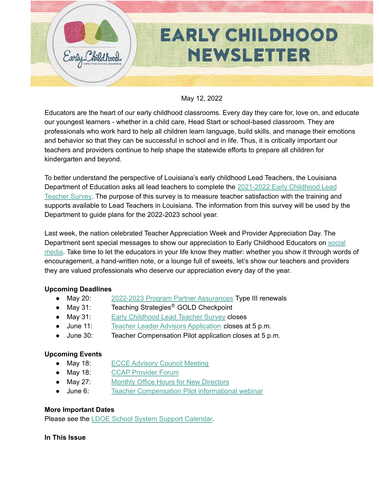

#### May 12, 2022

Educators are the heart of our early childhood classrooms. Every day they care for, love on, and educate our youngest learners - whether in a child care, Head Start or school-based classroom. They are professionals who work hard to help all children learn language, build skills, and manage their emotions and behavior so that they can be successful in school and in life. Thus, it is critically important our teachers and providers continue to help shape the statewide efforts to prepare all children for kindergarten and beyond.

To better understand the perspective of Louisiana's early childhood Lead Teachers, the Louisiana Department of Education asks all lead teachers to complete the [2021-2022](https://docs.google.com/forms/d/e/1FAIpQLSclxPaJfD6y9zT7GNVHfzDO9VDBqSOfzLUq5Mo3rtTGMm1rSg/viewform) Early Childhood Lead [Teacher](https://docs.google.com/forms/d/e/1FAIpQLSclxPaJfD6y9zT7GNVHfzDO9VDBqSOfzLUq5Mo3rtTGMm1rSg/viewform) Survey. The purpose of this survey is to measure teacher satisfaction with the training and supports available to Lead Teachers in Louisiana. The information from this survey will be used by the Department to guide plans for the 2022-2023 school year.

Last week, the nation celebrated Teacher Appreciation Week and Provider Appreciation Day. The Department sent special messages to show our appreciation to Early Childhood Educators on [social](https://fb.watch/cXK0hbMkeV/) [media.](https://fb.watch/cXK0hbMkeV/) Take time to let the educators in your life know they matter: whether you show it through words of encouragement, a hand-written note, or a lounge full of sweets, let's show our teachers and providers they are valued professionals who deserve our appreciation every day of the year.

#### **Upcoming Deadlines**

- May 20: 2022-2023 Program Partner [Assurances](https://form.jotform.com/220745546363155) Type III renewals
- May 31: Teaching Strategies<sup>®</sup> GOLD Checkpoint
- May 31: Early [Childhood](https://forms.gle/TQt5PtiD9uayu2828) Lead Teacher Survey closes
- June 11: Teacher Leader Advisors [Application](https://www.louisianabelieves.com/docs/default-source/louisiana-teacher-leaders/teacher-leader-advisor-flyer.pdf) closes at 5 p.m.
- June 30: Teacher Compensation Pilot application closes at 5 p.m.

### **Upcoming Events**

- May 18: ECCE [Advisory](https://livestream.com/louisianabelieves/events/10098749) Council Meeting
- May 18: CCAP [Provider](https://ldoe.zoom.us/j/95899082977?pwd=M0pjN2o5cHc3TllVTHFtcnhqSmlFUT09) Forum
- May 27: Monthly Office Hours for New [Directors](https://ldoe.zoom.us/j/99928176003)
- June 6: Teacher [Compensation](https://ldoe.zoom.us/j/93597745872) Pilot informational webinar

#### **More Important Dates**

Please see the LDOE School System Support [Calendar](https://louisianabelieves.com/resources/school-system-support-calendar).

#### **In This Issue**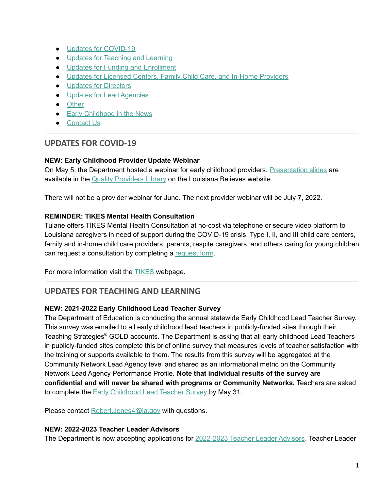- Updates for [COVID-19](#page-1-0)
- Updates for [Teaching](#page-1-1) and Learning
- Updates for Funding and [Enrollment](#page-4-0)
- Updates for Licensed Centers, Family Child Care, and In-Home [Providers](#page-7-0)
- Updates for [Directors](#page-10-0)
- Updates for Lead [Agencies](#page-10-1)
- [Other](#page-11-0)
- Early [Childhood](#page-11-1) in the News
- [Contact](#page-11-2) Us

# <span id="page-1-0"></span>**UPDATES FOR COVID-19**

### **NEW: Early Childhood Provider Update Webinar**

On May 5, the Department hosted a webinar for early childhood providers. [Presentation](https://www.louisianabelieves.com/docs/default-source/early-childhood/early-childhood-provider-updates-(may-2022).pdf) slides are available in the Quality [Providers](https://www.louisianabelieves.com/resources/library/child-care-provider-resources) Library on the Louisiana Believes website.

There will not be a provider webinar for June. The next provider webinar will be July 7, 2022.

### **REMINDER: TIKES Mental Health Consultation**

Tulane offers TIKES Mental Health Consultation at no-cost via telephone or secure video platform to Louisiana caregivers in need of support during the COVID-19 crisis. Type I, II, and III child care centers, family and in-home child care providers, parents, respite caregivers, and others caring for young children can [request](https://medicine.tulane.edu/departments/clinical-sciences/psychiatry/research/tikes) a consultation by completing a request form.

For more information visit the **[TIKES](https://medicine.tulane.edu/departments/clinical-sciences/psychiatry/research/tikes)** webpage.

# <span id="page-1-1"></span>**UPDATES FOR TEACHING AND LEARNING**

### **NEW: 2021-2022 Early Childhood Lead Teacher Survey**

The Department of Education is conducting the annual statewide Early Childhood Lead Teacher Survey. This survey was emailed to all early childhood lead teachers in publicly-funded sites through their Teaching Strategies ® GOLD accounts. The Department is asking that all early childhood Lead Teachers in publicly-funded sites complete this brief online survey that measures levels of teacher satisfaction with the training or supports available to them. The results from this survey will be aggregated at the Community Network Lead Agency level and shared as an informational metric on the Community Network Lead Agency Performance Profile. **Note that individual results of the survey are confidential and will never be shared with programs or Community Networks.** Teachers are asked to complete the Early [Childhood](https://forms.gle/TQt5PtiD9uayu2828) Lead Teacher Survey by May 31.

Please contact [Robert.Jones4@la.gov](mailto:robert.jones4@la.gov) with questions.

### **NEW: 2022-2023 Teacher Leader Advisors**

The Department is now accepting applications for [2022-2023](https://www.louisianabelieves.com/docs/default-source/louisiana-teacher-leaders/teacher-leader-advisor-flyer.pdf) Teacher Leader Advisors. Teacher Leader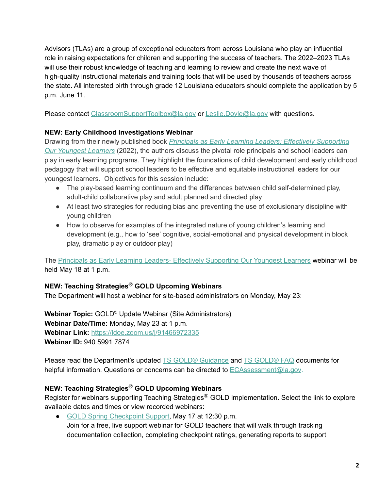Advisors (TLAs) are a group of exceptional educators from across Louisiana who play an influential role in raising expectations for children and supporting the success of teachers. The 2022–2023 TLAs will use their robust knowledge of teaching and learning to review and create the next wave of high-quality instructional materials and training tools that will be used by thousands of teachers across the state. All interested birth through grade 12 Louisiana educators should complete the application by 5 p.m. June 11.

Please contact [ClassroomSupportToolbox@la.gov](mailto:ClassroomSupportToolbox@la.gov) or [Leslie.Doyle@la.gov](mailto:leslie.doyle@la.gov) with questions.

# **NEW: Early Childhood Investigations Webinar**

Drawing from their newly published book *Principals as Early Learning Leaders: Effectively [Supporting](https://www.tcpress.com/principals-as-early-learning-leaders-9780807766170?page_id=31) Our [Youngest](https://www.tcpress.com/principals-as-early-learning-leaders-9780807766170?page_id=31) Learners* (2022), the authors discuss the pivotal role principals and school leaders can play in early learning programs. They highlight the foundations of child development and early childhood pedagogy that will support school leaders to be effective and equitable instructional leaders for our youngest learners. Objectives for this session include:

- The play-based learning continuum and the differences between child self-determined play, adult-child collaborative play and adult planned and directed play
- At least two strategies for reducing bias and preventing the use of exclusionary discipline with young children
- How to observe for examples of the integrated nature of young children's learning and development (e.g., how to 'see' cognitive, social-emotional and physical development in block play, dramatic play or outdoor play)

The Principals as Early Learning Leaders- Effectively [Supporting](https://www.earlychildhoodwebinars.com/webinars/the-urgency-for-principals-and-school-leaders-to-become-effective-early-learning-leaders/) Our Youngest Learners webinar will be held May 18 at 1 p.m.

# **NEW: Teaching Strategies**Ⓡ **GOLD Upcoming Webinars**

The Department will host a webinar for site-based administrators on Monday, May 23:

**Webinar Topic:** GOLD ® Update Webinar (Site Administrators) **Webinar Date/Time:** Monday, May 23 at 1 p.m. **Webinar Link:** [https://ldoe.zoom.us/j/91466972335](https://ldoe.zoom.us/j/91466972335?pwd=N3VNS253QktWN2U4MGpJUVF0b3hBUT09) **Webinar ID:** 940 5991 7874

Please read the Department's updated **TS GOLD® [Guidance](https://www.louisianabelieves.com/docs/default-source/early-childhood/ts-gold-guidance.pdf) and TS [GOLD®](https://www.louisianabelieves.com/docs/default-source/early-childhood/ts-gold-faq.pdf) FAQ** documents for helpful information. Questions or concerns can be directed to [ECAssessment@la.gov](mailto:ECAssessment@la.gov).

# **NEW: Teaching Strategies**Ⓡ **GOLD Upcoming Webinars**

Register for webinars supporting Teaching Strategies<sup>®</sup> GOLD implementation. Select the link to explore available dates and times or view recorded webinars:

● GOLD Spring [Checkpoint](https://teachingstrategies.com/webinar/gold-spring-checkpoint-support-for-teachers/) Support, May 17 at 12:30 p.m. Join for a free, live support webinar for GOLD teachers that will walk through tracking documentation collection, completing checkpoint ratings, generating reports to support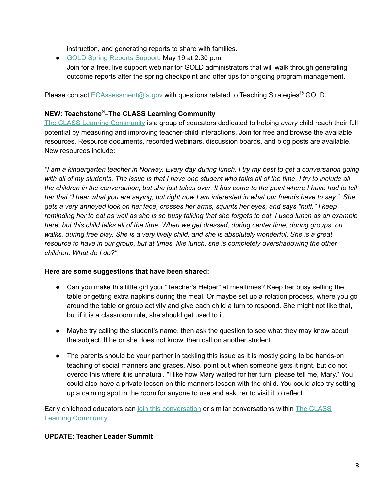instruction, and generating reports to share with families.

● GOLD Spring [Reports](https://teachingstrategies.com/webinar/gold-spring-reports-support/) Support, May 19 at 2:30 p.m. Join for a free, live support webinar for GOLD administrators that will walk through generating outcome reports after the spring checkpoint and offer tips for ongoing program management.

Please contact [ECAssessment@la.gov](mailto:ECAssessment@la.gov) with questions related to Teaching Strategies<sup>®</sup> GOLD.

#### **NEW: Teachstone ®–The CLASS Learning Community**

The CLASS Learning [Community](https://urldefense.proofpoint.com/v2/url?u=https-3A__info.teachstone.com_e3t_Btc_2F-2B113_c27hm04_VVsDNZ3P29wJW5RShQd4TGfrFV7Wb0N4Gf1z9M-5Fh9pm3q3npV1-2DWJV7CgD6XW4-2DHpJs3zkBFqW5yXC-2DD3Lv6l4W5TDGRZ9fG3RZW8cGL2-5F1xfwlVW4BC8zL3dkW9XN3Q4RS72DRv7W5kBh-2DL7RWvjBW8Qg47h7xG6PsW3YK2pr39XqDbW4thrks4gMBnLN4j1qT-2DskxwsW1F3lLz2BZGRTW4SkrP31Y9ScnW9hkQ0T350qcvW4cmPvC3vRRjxW3080ZH2QVJQxW3Fh3Ct7f3GNTW8ydwC71nT-2DJZW6zflX-2D5VJgS7W90f-2DDG2VKmcmW9fRSpp6tj82yW8BcWj28r8vc23lL81&d=DwMFaQ&c=xlPCXuHzMdaH2Flc1sgyicYpGQbQbU9KDEmgNF3_wI0&r=8XJCv_ZDVib2hX6XiqGP3S3w4qzgqnmR1tO4SXobYGU&m=w0raAdkSY4Gn8wYNu1R3RxweCeVVklJjhxpyIr4eHa0&s=lX_dEZQyoujFlfgmVJlQVPW13G3ymuMo3k8dT-Yv-S8&e=) is a group of educators dedicated to helping *every* child reach their full potential by measuring and improving teacher-child interactions. Join for free and browse the available resources. Resource documents, recorded webinars, discussion boards, and blog posts are available. New resources include:

"I am a kindergarten teacher in Norway. Every day during lunch, I try my best to get a conversation going with all of my students. The issue is that I have one student who talks all of the time. I try to include all the children in the conversation, but she just takes over. It has come to the point where I have had to tell her that "I hear what you are saying, but right now I am interested in what our friends have to say." She gets a very annoyed look on her face, crosses her arms, squints her eyes, and says "huff." I keep reminding her to eat as well as she is so busy talking that she forgets to eat. I used lunch as an example here, but this child talks all of the time. When we get dressed, during center time, during groups, on walks, during free play. She is a very lively child, and she is absolutely wonderful. She is a great *resource to have in our group, but at times, like lunch, she is completely overshadowing the other children. What do I do?"*

#### **Here are some suggestions that have been shared:**

- Can you make this little girl your "Teacher's Helper" at mealtimes? Keep her busy setting the table or getting extra napkins during the meal. Or maybe set up a rotation process, where you go around the table or group activity and give each child a turn to respond. She might not like that, but if it is a classroom rule, she should get used to it.
- Maybe try calling the student's name, then ask the question to see what they may know about the subject. If he or she does not know, then call on another student.
- The parents should be your partner in tackling this issue as it is mostly going to be hands-on teaching of social manners and graces. Also, point out when someone gets it right, but do not overdo this where it is unnatural. "I like how Mary waited for her turn; please tell me, Mary." You could also have a private lesson on this manners lesson with the child. You could also try setting up a calming spot in the room for anyone to use and ask her to visit it to reflect.

Early childhood educators can join this [conversation](https://community.teachstone.com/communities/community-home/digestviewer/viewthread?GroupId=55&MessageKey=8a489052-650a-4b23-a3b7-23d64604d6d1&CommunityKey=00b2dc35-30ad-4ef3-8020-f722c650f5d1&ReturnUrl=%2Fbrowse%2Fallrecentposts&utm_campaign=CLC%20Newsletter&utm_medium=email&_hsmi=212030497&_hsenc=p2ANqtz-9wNqkYnUKULmDM0drsSkN0fm5QqWAZI78zbso_ceRe92c-ATT3omXKX_r3CR0E_h8Iti3Rl-bunhM9V_vf_FdIJpw76g&utm_content=212030497&utm_source=hs_email) or similar conversations within The [CLASS](https://urldefense.proofpoint.com/v2/url?u=https-3A__info.teachstone.com_e3t_Btc_2F-2B113_c27hm04_VVsDNZ3P29wJW5RShQd4TGfrFV7Wb0N4Gf1z9M-5Fh9pm3q3npV1-2DWJV7CgD6XW4-2DHpJs3zkBFqW5yXC-2DD3Lv6l4W5TDGRZ9fG3RZW8cGL2-5F1xfwlVW4BC8zL3dkW9XN3Q4RS72DRv7W5kBh-2DL7RWvjBW8Qg47h7xG6PsW3YK2pr39XqDbW4thrks4gMBnLN4j1qT-2DskxwsW1F3lLz2BZGRTW4SkrP31Y9ScnW9hkQ0T350qcvW4cmPvC3vRRjxW3080ZH2QVJQxW3Fh3Ct7f3GNTW8ydwC71nT-2DJZW6zflX-2D5VJgS7W90f-2DDG2VKmcmW9fRSpp6tj82yW8BcWj28r8vc23lL81&d=DwMFaQ&c=xlPCXuHzMdaH2Flc1sgyicYpGQbQbU9KDEmgNF3_wI0&r=8XJCv_ZDVib2hX6XiqGP3S3w4qzgqnmR1tO4SXobYGU&m=w0raAdkSY4Gn8wYNu1R3RxweCeVVklJjhxpyIr4eHa0&s=lX_dEZQyoujFlfgmVJlQVPW13G3ymuMo3k8dT-Yv-S8&e=) Learning [Community](https://urldefense.proofpoint.com/v2/url?u=https-3A__info.teachstone.com_e3t_Btc_2F-2B113_c27hm04_VVsDNZ3P29wJW5RShQd4TGfrFV7Wb0N4Gf1z9M-5Fh9pm3q3npV1-2DWJV7CgD6XW4-2DHpJs3zkBFqW5yXC-2DD3Lv6l4W5TDGRZ9fG3RZW8cGL2-5F1xfwlVW4BC8zL3dkW9XN3Q4RS72DRv7W5kBh-2DL7RWvjBW8Qg47h7xG6PsW3YK2pr39XqDbW4thrks4gMBnLN4j1qT-2DskxwsW1F3lLz2BZGRTW4SkrP31Y9ScnW9hkQ0T350qcvW4cmPvC3vRRjxW3080ZH2QVJQxW3Fh3Ct7f3GNTW8ydwC71nT-2DJZW6zflX-2D5VJgS7W90f-2DDG2VKmcmW9fRSpp6tj82yW8BcWj28r8vc23lL81&d=DwMFaQ&c=xlPCXuHzMdaH2Flc1sgyicYpGQbQbU9KDEmgNF3_wI0&r=8XJCv_ZDVib2hX6XiqGP3S3w4qzgqnmR1tO4SXobYGU&m=w0raAdkSY4Gn8wYNu1R3RxweCeVVklJjhxpyIr4eHa0&s=lX_dEZQyoujFlfgmVJlQVPW13G3ymuMo3k8dT-Yv-S8&e=).

#### **UPDATE: Teacher Leader Summit**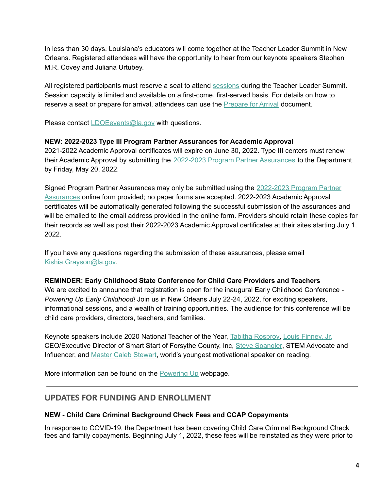In less than 30 days, Louisiana's educators will come together at the Teacher Leader Summit in New Orleans. Registered attendees will have the opportunity to hear from our keynote speakers Stephen M.R. Covey and Juliana Urtubey.

All registered participants must reserve a seat to attend [sessions](https://whova.com/embedded/event/i6u0jc%2FHaQPA8X9JKRdO22%2FvxgNOBGeJNdxPWRzFISM%3D/?utc_source=ems) during the Teacher Leader Summit. Session capacity is limited and available on a first-come, first-served basis. For details on how to reserve a seat or prepare for arrival, attendees can use the [Prepare](https://www.louisianabelieves.com/docs/default-source/2022-teacher-leader-summit/prepare-for-arrival---tl-summit-2022.pdf) for Arrival document.

Please contact [LDOEevents@la.gov](mailto:LDOEevents@la.gov) with questions.

#### **NEW: 2022-2023 Type III Program Partner Assurances for Academic Approval**

2021-2022 Academic Approval certificates will expire on June 30, 2022. Type III centers must renew their Academic Approval by submitting the 2022-2023 Program Partner [Assurances](https://form.jotform.com/220745546363155) to the Department by Friday, May 20, 2022.

Signed Program Partner Assurances may only be submitted using the [2022-2023](https://form.jotform.com/220745546363155) Program Partner [Assurances](https://form.jotform.com/220745546363155) online form provided; no paper forms are accepted. 2022-2023 Academic Approval certificates will be automatically generated following the successful submission of the assurances and will be emailed to the email address provided in the online form. Providers should retain these copies for their records as well as post their 2022-2023 Academic Approval certificates at their sites starting July 1, 2022.

If you have any questions regarding the submission of these assurances, please email [Kishia.Grayson@la.gov](mailto:kishia.grayson@la.gov).

#### **REMINDER: Early Childhood State Conference for Child Care Providers and Teachers**

We are excited to announce that registration is open for the inaugural Early Childhood Conference -*Powering Up Early Childhood!* Join us in New Orleans July 22-24, 2022, for exciting speakers, informational sessions, and a wealth of training opportunities. The audience for this conference will be child care providers, directors, teachers, and families.

Keynote speakers include 2020 National Teacher of the Year, Tabitha [Rosproy,](https://ntoy.ccsso.org/tabatha-rosproy/) Louis [Finney,](https://smartstart-fc.org/) Jr. CEO/Executive Director of Smart Start of Forsythe County, Inc, Steve [Spangler](https://stevespangler.com/about-steve-spangler/), STEM Advocate and Influencer, and Master Caleb [Stewart,](https://www.nbc.com/little-big-shots/video/fiveyearold-master-caleb-is-the-worlds-youngest-motivational-speaker-little-big-shots/4143630) world's youngest motivational speaker on reading.

More information can be found on the [Powering](https://www.louisianabelieves.com/early-childhood-conference-2022) Up webpage.

# <span id="page-4-0"></span>**UPDATES FOR FUNDING AND ENROLLMENT**

#### **NEW - Child Care Criminal Background Check Fees and CCAP Copayments**

In response to COVID-19, the Department has been covering Child Care Criminal Background Check fees and family copayments. Beginning July 1, 2022, these fees will be reinstated as they were prior to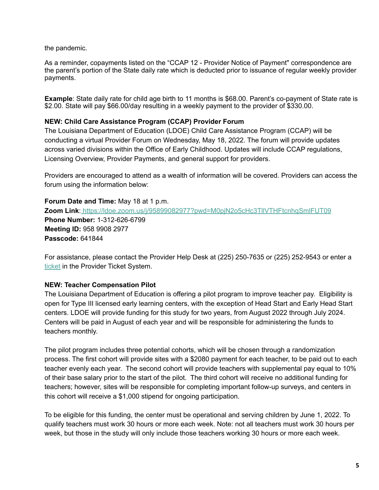the pandemic.

As a reminder, copayments listed on the "CCAP 12 - Provider Notice of Payment" correspondence are the parent's portion of the State daily rate which is deducted prior to issuance of regular weekly provider payments.

**Example**: State daily rate for child age birth to 11 months is \$68.00. Parent's co-payment of State rate is \$2.00. State will pay \$66.00/day resulting in a weekly payment to the provider of \$330.00.

#### **NEW: Child Care Assistance Program (CCAP) Provider Forum**

The Louisiana Department of Education (LDOE) Child Care Assistance Program (CCAP) will be conducting a virtual Provider Forum on Wednesday, May 18, 2022. The forum will provide updates across varied divisions within the Office of Early Childhood. Updates will include CCAP regulations, Licensing Overview, Provider Payments, and general support for providers.

Providers are encouraged to attend as a wealth of information will be covered. Providers can access the forum using the information below:

**Forum Date and Time:** May 18 at 1 p.m. **Zoom Link**: <https://ldoe.zoom.us/j/95899082977?pwd=M0pjN2o5cHc3TllVTHFtcnhqSmlFUT09> **Phone Number:** 1-312-626-6799 **Meeting ID:** 958 9908 2977 **Passcode:** 641844

For assistance, please contact the Provider Help Desk at (225) 250-7635 or (225) 252-9543 or enter a [ticket](https://provider.supportsystem.com/) in the Provider Ticket System.

### **NEW: Teacher Compensation Pilot**

The Louisiana Department of Education is offering a pilot program to improve teacher pay. Eligibility is open for Type III licensed early learning centers, with the exception of Head Start and Early Head Start centers. LDOE will provide funding for this study for two years, from August 2022 through July 2024. Centers will be paid in August of each year and will be responsible for administering the funds to teachers monthly.

The pilot program includes three potential cohorts, which will be chosen through a randomization process. The first cohort will provide sites with a \$2080 payment for each teacher, to be paid out to each teacher evenly each year. The second cohort will provide teachers with supplemental pay equal to 10% of their base salary prior to the start of the pilot. The third cohort will receive no additional funding for teachers; however, sites will be responsible for completing important follow-up surveys, and centers in this cohort will receive a \$1,000 stipend for ongoing participation.

To be eligible for this funding, the center must be operational and serving children by June 1, 2022. To qualify teachers must work 30 hours or more each week. Note: not all teachers must work 30 hours per week, but those in the study will only include those teachers working 30 hours or more each week.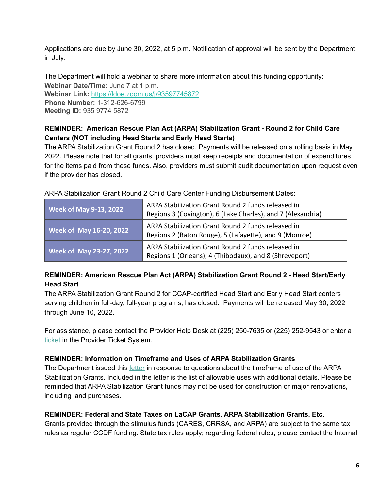Applications are due by June 30, 2022, at 5 p.m. Notification of approval will be sent by the Department in July.

The Department will hold a webinar to share more information about this funding opportunity: **Webinar Date/Time:** June 7 at 1 p.m. **Webinar Link:** [https://ldoe.zoom.us/j/93597745872](https://ldoe.zoom.us/j/93597745872?pwd=N29GbDNzZ3FRbnkxYVNGaGZZdHI3dz09) **Phone Number:** 1-312-626-6799 **Meeting ID:** 935 9774 5872

# **REMINDER: American Rescue Plan Act (ARPA) Stabilization Grant - Round 2 for Child Care Centers (NOT including Head Starts and Early Head Starts)**

The ARPA Stabilization Grant Round 2 has closed. Payments will be released on a rolling basis in May 2022. Please note that for all grants, providers must keep receipts and documentation of expenditures for the items paid from these funds. Also, providers must submit audit documentation upon request even if the provider has closed.

| <b>Week of May 9-13, 2022</b>  | ARPA Stabilization Grant Round 2 funds released in<br>Regions 3 (Covington), 6 (Lake Charles), and 7 (Alexandria) |
|--------------------------------|-------------------------------------------------------------------------------------------------------------------|
| <b>Week of May 16-20, 2022</b> | ARPA Stabilization Grant Round 2 funds released in<br>Regions 2 (Baton Rouge), 5 (Lafayette), and 9 (Monroe)      |
| <b>Week of May 23-27, 2022</b> | ARPA Stabilization Grant Round 2 funds released in<br>Regions 1 (Orleans), 4 (Thibodaux), and 8 (Shreveport)      |

ARPA Stabilization Grant Round 2 Child Care Center Funding Disbursement Dates:

# **REMINDER: American Rescue Plan Act (ARPA) Stabilization Grant Round 2 - Head Start/Early Head Start**

The ARPA Stabilization Grant Round 2 for CCAP-certified Head Start and Early Head Start centers serving children in full-day, full-year programs, has closed. Payments will be released May 30, 2022 through June 10, 2022.

For assistance, please contact the Provider Help Desk at (225) 250-7635 or (225) 252-9543 or enter a [ticket](https://provider.supportsystem.com/) in the Provider Ticket System.

# **REMINDER: Information on Timeframe and Uses of ARPA Stabilization Grants**

The Department issued this [letter](https://www.louisianabelieves.com/docs/default-source/child-care-providers/arpa-stablization-grant-memo---timelines-and-uses.pdf?sfvrsn=7ebd6518_2) in response to questions about the timeframe of use of the ARPA Stabilization Grants. Included in the letter is the list of allowable uses with additional details. Please be reminded that ARPA Stabilization Grant funds may not be used for construction or major renovations, including land purchases.

# **REMINDER: Federal and State Taxes on LaCAP Grants, ARPA Stabilization Grants, Etc.**

Grants provided through the stimulus funds (CARES, CRRSA, and ARPA) are subject to the same tax rules as regular CCDF funding. State tax rules apply; regarding federal rules, please contact the Internal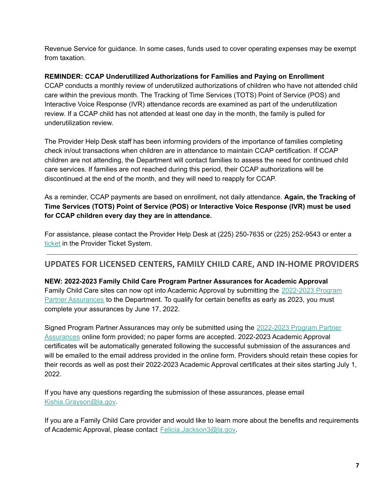Revenue Service for guidance. In some cases, funds used to cover operating expenses may be exempt from taxation.

## **REMINDER: CCAP Underutilized Authorizations for Families and Paying on Enrollment**

CCAP conducts a monthly review of underutilized authorizations of children who have not attended child care within the previous month. The Tracking of Time Services (TOTS) Point of Service (POS) and Interactive Voice Response (IVR) attendance records are examined as part of the underutilization review. If a CCAP child has not attended at least one day in the month, the family is pulled for underutilization review.

The Provider Help Desk staff has been informing providers of the importance of families completing check in/out transactions when children are in attendance to maintain CCAP certification. If CCAP children are not attending, the Department will contact families to assess the need for continued child care services. If families are not reached during this period, their CCAP authorizations will be discontinued at the end of the month, and they will need to reapply for CCAP.

As a reminder, CCAP payments are based on enrollment, not daily attendance. **Again, the Tracking of Time Services (TOTS) Point of Service (POS) or Interactive Voice Response (IVR) must be used for CCAP children every day they are in attendance.**

For assistance, please contact the Provider Help Desk at (225) 250-7635 or (225) 252-9543 or enter a [ticket](https://provider.supportsystem.com/) in the Provider Ticket System.

# <span id="page-7-0"></span>**UPDATES FOR LICENSED CENTERS, FAMILY CHILD CARE, AND IN-HOME PROVIDERS**

### **NEW: 2022-2023 Family Child Care Program Partner Assurances for Academic Approval**

Family Child Care sites can now opt into Academic Approval by submitting the [2022-2023](https://form.jotform.com/220745546363155) Program Partner [Assurances](https://form.jotform.com/220745546363155) to the Department. To qualify for certain benefits as early as 2023, you must complete your assurances by June 17, 2022.

Signed Program Partner Assurances may only be submitted using the [2022-2023](https://form.jotform.com/220745546363155) Program Partner [Assurances](https://form.jotform.com/220745546363155) online form provided; no paper forms are accepted. 2022-2023 Academic Approval certificates will be automatically generated following the successful submission of the assurances and will be emailed to the email address provided in the online form. Providers should retain these copies for their records as well as post their 2022-2023 Academic Approval certificates at their sites starting July 1, 2022.

If you have any questions regarding the submission of these assurances, please email [Kishia.Grayson@la.gov](mailto:kishia.grayson@la.gov).

If you are a Family Child Care provider and would like to learn more about the benefits and requirements of Academic Approval, please contact [Felicia.Jackson3@la.gov.](mailto:Felicia.Jackson3@la.gov)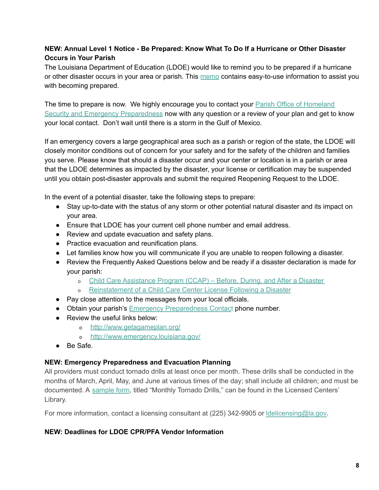# **NEW: Annual Level 1 Notice - Be Prepared: Know What To Do If a Hurricane or Other Disaster Occurs in Your Parish**

The Louisiana Department of Education (LDOE) would like to remind you to be prepared if a hurricane or other disaster occurs in your area or parish. This [memo](https://www.louisianabelieves.com/docs/default-source/child-care-providers/ccdf-annual-notice---level-1.pdf?sfvrsn=fc566518_2) contains easy-to-use information to assist you with becoming prepared.

The time to prepare is now. We highly encourage you to contact your **Parish Office of [Homeland](http://gohsep.la.gov/ABOUT/PARISHPA)** Security and Emergency [Preparedness](http://gohsep.la.gov/ABOUT/PARISHPA) now with any question or a review of your plan and get to know your local contact. Don't wait until there is a storm in the Gulf of Mexico.

If an emergency covers a large geographical area such as a parish or region of the state, the LDOE will closely monitor conditions out of concern for your safety and for the safety of the children and families you serve. Please know that should a disaster occur and your center or location is in a parish or area that the LDOE determines as impacted by the disaster, your license or certification may be suspended until you obtain post-disaster approvals and submit the required Reopening Request to the LDOE.

In the event of a potential disaster, take the following steps to prepare:

- Stay up-to-date with the status of any storm or other potential natural disaster and its impact on your area.
- Ensure that LDOE has your current cell phone number and email address.
- Review and update evacuation and safety plans.
- Practice evacuation and reunification plans.
- Let families know how you will communicate if you are unable to reopen following a disaster.
- Review the Frequently Asked Questions below and be ready if a disaster declaration is made for your parish:
	- o Child Care [Assistance](https://louisianabelieves.com/docs/default-source/early-childhood/child-care-assistance-program---before-during-and-after-a-disaster.pdf) Program (CCAP) Before, During, and After a Disaster
	- o [Reinstatement](https://www.louisianabelieves.com/docs/default-source/early-childhood/reinstatement-of-a-child-care-center-license-following-a-disaster.pdf?sfvrsn=c4386718_2) of a Child Care Center License Following a Disaster
- Pay close attention to the messages from your local officials.
- Obtain your parish's Emergency [Preparedness](http://gohsep.la.gov/ABOUT/PARISHPA) Contact phone number.
- Review the useful links below:
	- o <http://www.getagameplan.org/>
	- o <http://www.emergency.louisiana.gov/>
- Be Safe.

### **NEW: Emergency Preparedness and Evacuation Planning**

All providers must conduct tornado drills at least once per month. These drills shall be conducted in the months of March, April, May, and June at various times of the day; shall include all children; and must be documented. A [sample](https://www.louisianabelieves.com/docs/default-source/early-childhood/1921-f-monthly-tornado-drills.pdf?sfvrsn=ca418e1f_12) form, titled "Monthly Tornado Drills," can be found in the Licensed Centers' Library.

For more information, contact a licensing consultant at (225) 342-9905 or Idelicensing@la.gov.

### **NEW: Deadlines for LDOE CPR/PFA Vendor Information**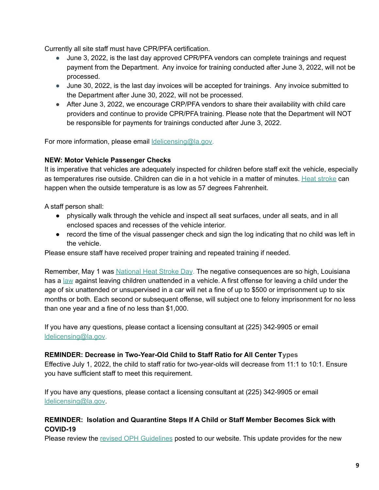Currently all site staff must have CPR/PFA certification.

- June 3, 2022, is the last day approved CPR/PFA vendors can complete trainings and request payment from the Department. Any invoice for training conducted after June 3, 2022, will not be processed.
- June 30, 2022, is the last day invoices will be accepted for trainings. Any invoice submitted to the Department after June 30, 2022, will not be processed.
- After June 3, 2022, we encourage CRP/PFA vendors to share their availability with child care providers and continue to provide CPR/PFA training. Please note that the Department will NOT be responsible for payments for trainings conducted after June 3, 2022.

For more information, please email **Idelicensing@la.gov.** 

### **NEW: Motor Vehicle Passenger Checks**

It is imperative that vehicles are adequately inspected for children before staff exit the vehicle, especially as temperatures rise outside. Children can die in a hot vehicle in a matter of minutes. Heat [stroke](https://www.healthychildren.org/English/safety-prevention/on-the-go/Pages/Prevent-Child-Deaths-in-Hot-Cars.aspx) can happen when the outside temperature is as low as 57 degrees Fahrenheit.

A staff person shall:

- physically walk through the vehicle and inspect all seat surfaces, under all seats, and in all enclosed spaces and recesses of the vehicle interior.
- record the time of the visual passenger check and sign the log indicating that no child was left in the vehicle.

Please ensure staff have received proper training and repeated training if needed.

Remember, May 1 was [National](https://www.facebook.com/watch/?v=405247771607291) Heat Stroke Day. The negative consequences are so high, Louisiana has a [law](https://www.legis.la.gov/legis/law.aspx?d=181442) against leaving children unattended in a vehicle. A first offense for leaving a child under the age of six unattended or unsupervised in a car will net a fine of up to \$500 or imprisonment up to six months or both. Each second or subsequent offense, will subject one to felony imprisonment for no less than one year and a fine of no less than \$1,000.

If you have any questions, please contact a licensing consultant at (225) 342-9905 or email [ldelicensing@la.gov.](mailto:ldelicensing@la.gov)

### **REMINDER: Decrease in Two-Year-Old Child to Staff Ratio for All Center Types**

Effective July 1, 2022, the child to staff ratio for two-year-olds will decrease from 11:1 to 10:1. Ensure you have sufficient staff to meet this requirement.

If you have any questions, please contact a licensing consultant at (225) 342-9905 or email [ldelicensing@la.gov.](mailto:ldelicensing@la.gov)

### **REMINDER: Isolation and Quarantine Steps If A Child or Staff Member Becomes Sick with COVID-19**

Please review the revised OPH [Guidelines](https://www.louisianabelieves.com/docs/default-source/covid-19-resources/office-of-public-health-guidelines-for-child-care.pdf?sfvrsn=19659b1f_38) posted to our website. This update provides for the new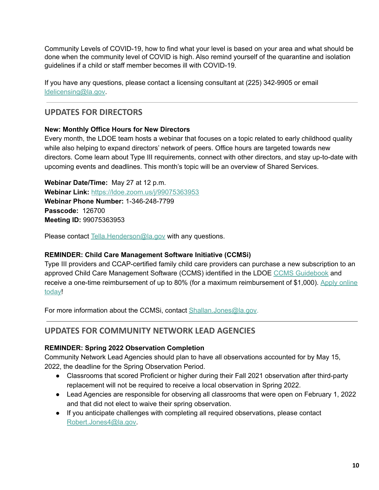Community Levels of COVID-19, how to find what your level is based on your area and what should be done when the community level of COVID is high. Also remind yourself of the quarantine and isolation guidelines if a child or staff member becomes ill with COVID-19.

If you have any questions, please contact a licensing consultant at (225) 342-9905 or email [ldelicensing@la.gov.](mailto:ldelicensing@la.gov)

# <span id="page-10-0"></span>**UPDATES FOR DIRECTORS**

# **New: Monthly Office Hours for New Directors**

Every month, the LDOE team hosts a webinar that focuses on a topic related to early childhood quality while also helping to expand directors' network of peers. Office hours are targeted towards new directors. Come learn about Type III requirements, connect with other directors, and stay up-to-date with upcoming events and deadlines. This month's topic will be an overview of Shared Services.

**Webinar Date/Time:** May 27 at 12 p.m. **Webinar Link:** [https://ldoe.zoom.us/j/99075363953](https://ldoe.zoom.us/j/99928176003) **Webinar Phone Number:** 1-346-248-7799 **Passcode:** 126700 **Meeting ID:** 99075363953

Please contact [Tella.Henderson@la.gov](mailto:tella.henderson@la.gov) with any questions.

# **REMINDER: Child Care Management Software Initiative (CCMSi)**

Type III providers and CCAP-certified family child care providers can purchase a new subscription to an approved Child Care Management Software (CCMS) identified in the LDOE CCMS [Guidebook](https://urldefense.proofpoint.com/v2/url?u=https-3A__www.louisianabelieves.com_docs_default-2Dsource_early-2Dchildhood_2021-2Dchild-2Dcare-2Dmanagement-2Dsoftware-2D-28ccms-29-2Dinitiative-2Dguidebook.pdf&d=DwMFaQ&c=xlPCXuHzMdaH2Flc1sgyicYpGQbQbU9KDEmgNF3_wI0&r=OSa83HuHhXTZZE1zi887Pgx_Ay6pvsXUdulAIWhaZVU&m=sxhnqmwhVBWc6lI8Y-HkRYnBHeYtSKE7IrNoJE-IYFY&s=rbuzQzQRo2X8F7_LxuSUyDcoYidbTjSvwMDOJg-czu4&e=) and receive a one-time reimbursement of up to 80% (for a maximum reimbursement of \$1,000). Apply [online](https://www.louisianabelieves.com/docs/default-source/early-childhood/2021-ccmsi-provider-application.pdf) [today!](https://www.louisianabelieves.com/docs/default-source/early-childhood/2021-ccmsi-provider-application.pdf)

For more information about the CCMSi, contact [Shallan.Jones@la.gov.](mailto:shallan.jones@la.gov)

# <span id="page-10-1"></span>**UPDATES FOR COMMUNITY NETWORK LEAD AGENCIES**

# **REMINDER: Spring 2022 Observation Completion**

Community Network Lead Agencies should plan to have all observations accounted for by May 15, 2022, the deadline for the Spring Observation Period.

- Classrooms that scored Proficient or higher during their Fall 2021 observation after third-party replacement will not be required to receive a local observation in Spring 2022.
- Lead Agencies are responsible for observing all classrooms that were open on February 1, 2022 and that did not elect to waive their spring observation.
- If you anticipate challenges with completing all required observations, please contact [Robert.Jones4@la.gov.](mailto:robert.jones4@la.gov)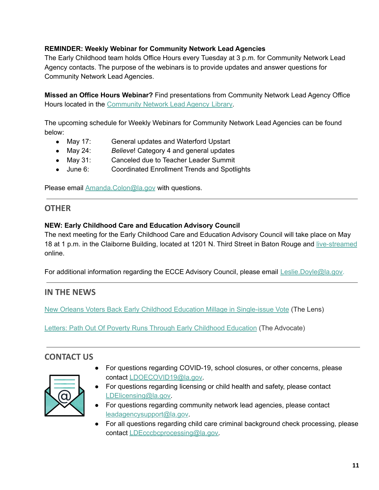# **REMINDER: Weekly Webinar for Community Network Lead Agencies**

The Early Childhood team holds Office Hours every Tuesday at 3 p.m. for Community Network Lead Agency contacts. The purpose of the webinars is to provide updates and answer questions for Community Network Lead Agencies.

**Missed an Office Hours Webinar?** Find presentations from Community Network Lead Agency Office Hours located in the [Community](https://www.louisianabelieves.com/resources/library/lead-agencies) Network Lead Agency Library.

The upcoming schedule for Weekly Webinars for Community Network Lead Agencies can be found below:

- May 17: General updates and Waterford Upstart
- May 24: *Believe*! Category 4 and general updates
- May 31: Canceled due to Teacher Leader Summit
- June 6: Coordinated Enrollment Trends and Spotlights

Please email [Amanda.Colon@la.gov](mailto:amanda.colon@la.gov) with questions.

# <span id="page-11-0"></span>**OTHER**

# **NEW: Early Childhood Care and Education Advisory Council**

The next meeting for the Early Childhood Care and Education Advisory Council will take place on May 18 at 1 p.m. in the Claiborne Building, located at 1201 N. Third Street in Baton Rouge and [live-streamed](https://livestream.com/louisianabelieves/events/10098749) online.

For additional information regarding the ECCE Advisory Council, please email [Leslie.Doyle@la.gov.](mailto:leslie.doyle@la.gov)

# <span id="page-11-1"></span>**IN THE NEWS**

New Orleans Voters Back Early Childhood Education Millage in [Single-issue](https://thelensnola.org/2022/04/30/new-orleans-voters-approve-early-childhood-education-tax/) Vote (The Lens)

Letters: Path Out Of Poverty Runs Through Early [Childhood](https://www.theadvocate.com/baton_rouge/opinion/letters/article_3276ba94-cc2a-11ec-bcd3-af5ba301e603.html) Education (The Advocate)

# <span id="page-11-2"></span>**CONTACT US**



- For questions regarding COVID-19, school closures, or other concerns, please contact [LDOECOVID19@la.gov.](mailto:LDOECOVID19@la.gov)
- For questions regarding licensing or child health and safety, please contact [LDElicensing@la.gov.](mailto:ldelicensing@la.gov)
- For questions regarding community network lead agencies, please contact [leadagencysupport@la.gov](mailto:leadagencysupport@la.gov).
- For all questions regarding child care criminal background check processing, please contact [LDEcccbcprocessing@la.gov.](mailto:LDEcccbcprocessing@la.gov)